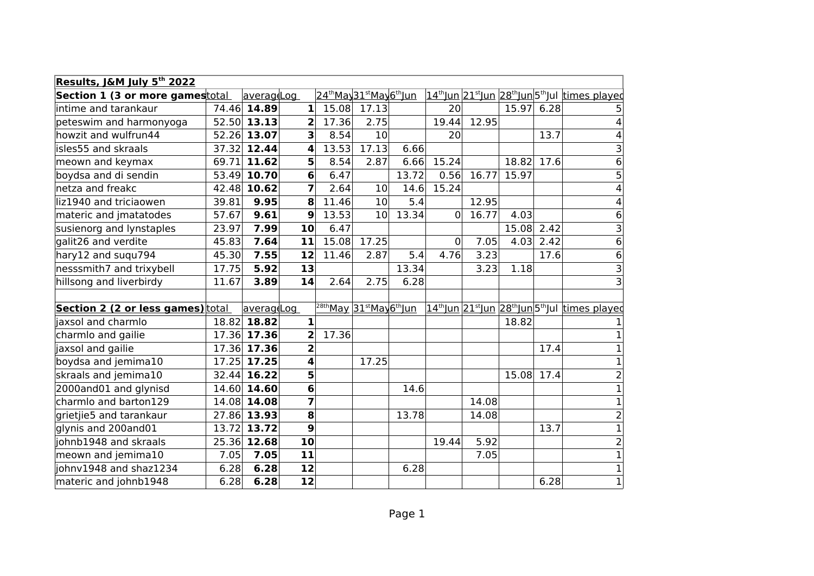| Results, J&M July 5 <sup>th</sup> 2022   |       |             |                |       |                                                               |       |                 |       |            |      |                                                                                                 |
|------------------------------------------|-------|-------------|----------------|-------|---------------------------------------------------------------|-------|-----------------|-------|------------|------|-------------------------------------------------------------------------------------------------|
| Section 1 (3 or more gamestotal          |       | averag Log  |                |       | 24 <sup>th</sup> May 31 <sup>st</sup> May 6 <sup>th</sup> Jun |       |                 |       |            |      | <u> 14<sup>th</sup>Jun 21<sup>st</sup>Jun 28<sup>th</sup>Jun 5<sup>th</sup>Jul times played</u> |
| intime and tarankaur                     |       | 74.46 14.89 | 1              | 15.08 | 17.13                                                         |       | 20 <sup>1</sup> |       | 15.97 6.28 |      | 5                                                                                               |
| peteswim and harmonyoga                  |       | 52.50 13.13 | 2              | 17.36 | 2.75                                                          |       | 19.44           | 12.95 |            |      | 4                                                                                               |
| howzit and wulfrun44                     |       | 52.26 13.07 | 3              | 8.54  | 10 <sup>1</sup>                                               |       | 20 <sup>2</sup> |       |            | 13.7 | 4                                                                                               |
| isles55 and skraals                      |       | 37.32 12.44 | 4              | 13.53 | 17.13                                                         | 6.66  |                 |       |            |      | $\frac{3}{6}$                                                                                   |
| meown and keymax                         | 69.71 | 11.62       | 5 <sup>1</sup> | 8.54  | 2.87                                                          | 6.66  | 15.24           |       | 18.82      | 17.6 |                                                                                                 |
| boydsa and di sendin                     |       | 53.49 10.70 | 6              | 6.47  |                                                               | 13.72 | 0.56            | 16.77 | 15.97      |      | $\overline{5}$                                                                                  |
| netza and freakc                         |       | 42.48 10.62 | $\overline{7}$ | 2.64  | 10 <sup>1</sup>                                               | 14.6  | 15.24           |       |            |      | $\overline{4}$                                                                                  |
| lliz1940 and triciaowen                  | 39.81 | 9.95        | 8              | 11.46 | 10 <sup>1</sup>                                               | 5.4   |                 | 12.95 |            |      | 4                                                                                               |
| materic and jmatatodes                   | 57.67 | 9.61        | 9              | 13.53 | 10 <sup>1</sup>                                               | 13.34 | 0               | 16.77 | 4.03       |      | $\overline{6}$                                                                                  |
| susienorg and lynstaples                 | 23.97 | 7.99        | 10             | 6.47  |                                                               |       |                 |       | 15.08      | 2.42 | $\overline{\mathsf{c}}$                                                                         |
| galit26 and verdite                      | 45.83 | 7.64        | 11             | 15.08 | 17.25                                                         |       | 0               | 7.05  | 4.03       | 2.42 | $\overline{6}$                                                                                  |
| hary12 and suqu794                       | 45.30 | 7.55        | 12             | 11.46 | 2.87                                                          | 5.4   | 4.76            | 3.23  |            | 17.6 | $\overline{6}$                                                                                  |
| nesssmith7 and trixybell                 | 17.75 | 5.92        | 13             |       |                                                               | 13.34 |                 | 3.23  | 1.18       |      |                                                                                                 |
| hillsong and liverbirdy                  | 11.67 | 3.89        | 14             | 2.64  | 2.75                                                          | 6.28  |                 |       |            |      | $\overline{3}$                                                                                  |
|                                          |       |             |                |       |                                                               |       |                 |       |            |      |                                                                                                 |
| <b>Section 2 (2 or less games)</b> total |       | averag Log  |                |       | <sup>28th</sup> May 31 <sup>st</sup> May6 <sup>th</sup> Jun   |       |                 |       |            |      | 14 <sup>th</sup> Jun 21 <sup>st</sup> Jun 28 <sup>th</sup> Jun 5 <sup>th</sup> Jul times played |
| jaxsol and charmlo                       | 18.82 | 18.82       | $\mathbf{1}$   |       |                                                               |       |                 |       | 18.82      |      |                                                                                                 |
| charmlo and gailie                       |       | 17.36 17.36 | 2              | 17.36 |                                                               |       |                 |       |            |      | $\mathbf{1}$                                                                                    |
| jaxsol and gailie                        |       | 17.36 17.36 | $\overline{2}$ |       |                                                               |       |                 |       |            | 17.4 | $\overline{1}$                                                                                  |
| boydsa and jemima10                      | 17.25 | 17.25       | 4              |       | 17.25                                                         |       |                 |       |            |      | $\overline{1}$                                                                                  |
| skraals and jemima10                     |       | 32.44 16.22 | 5              |       |                                                               |       |                 |       | 15.08 17.4 |      | $\frac{2}{1}$                                                                                   |
| 2000and01 and glynisd                    |       | 14.60 14.60 | 6              |       |                                                               | 14.6  |                 |       |            |      |                                                                                                 |
| charmlo and barton129                    |       | 14.08 14.08 | 7              |       |                                                               |       |                 | 14.08 |            |      |                                                                                                 |
| grietjie5 and tarankaur                  |       | 27.86 13.93 | 8              |       |                                                               | 13.78 |                 | 14.08 |            |      | $\frac{1}{2}$                                                                                   |
| glynis and 200and01                      | 13.72 | 13.72       | 9              |       |                                                               |       |                 |       |            | 13.7 |                                                                                                 |
| johnb1948 and skraals                    |       | 25.36 12.68 | 10             |       |                                                               |       | 19.44           | 5.92  |            |      | $\frac{1}{2}$                                                                                   |
| meown and jemima10                       | 7.05  | 7.05        | 11             |       |                                                               |       |                 | 7.05  |            |      |                                                                                                 |
| johnv1948 and shaz1234                   | 6.28  | 6.28        | 12             |       |                                                               | 6.28  |                 |       |            |      | $\frac{1}{1}$                                                                                   |
| materic and johnb1948                    | 6.28  | 6.28        | 12             |       |                                                               |       |                 |       |            | 6.28 |                                                                                                 |